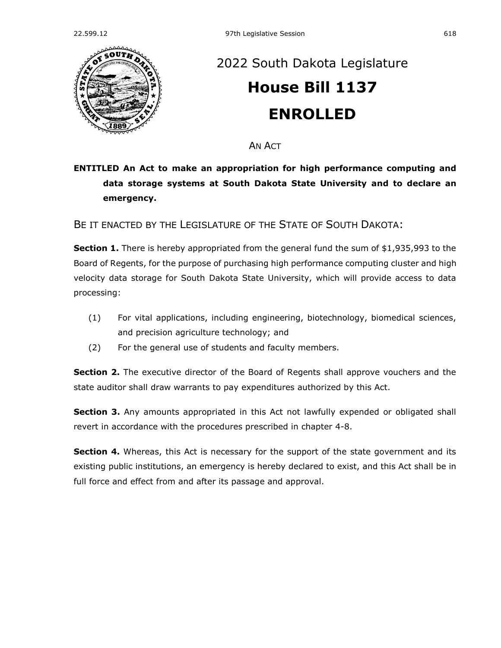

## [2022 South Dakota Legislature](https://sdlegislature.gov/Session/Bills/64) **[House Bill 1137](https://sdlegislature.gov/Session/Bill/23170) ENROLLED**

AN ACT

## **ENTITLED An Act to make an appropriation for high performance computing and data storage systems at South Dakota State University and to declare an emergency.**

BE IT ENACTED BY THE LEGISLATURE OF THE STATE OF SOUTH DAKOTA:

**Section 1.** There is hereby appropriated from the general fund the sum of \$1,935,993 to the Board of Regents, for the purpose of purchasing high performance computing cluster and high velocity data storage for South Dakota State University, which will provide access to data processing:

- (1) For vital applications, including engineering, biotechnology, biomedical sciences, and precision agriculture technology; and
- (2) For the general use of students and faculty members.

**Section 2.** The executive director of the Board of Regents shall approve vouchers and the state auditor shall draw warrants to pay expenditures authorized by this Act.

**Section 3.** Any amounts appropriated in this Act not lawfully expended or obligated shall revert in accordance with the procedures prescribed in chapter [4-8.](https://sdlegislature.gov/Statutes?Statute=4-8)

**Section 4.** Whereas, this Act is necessary for the support of the state government and its existing public institutions, an emergency is hereby declared to exist, and this Act shall be in full force and effect from and after its passage and approval.